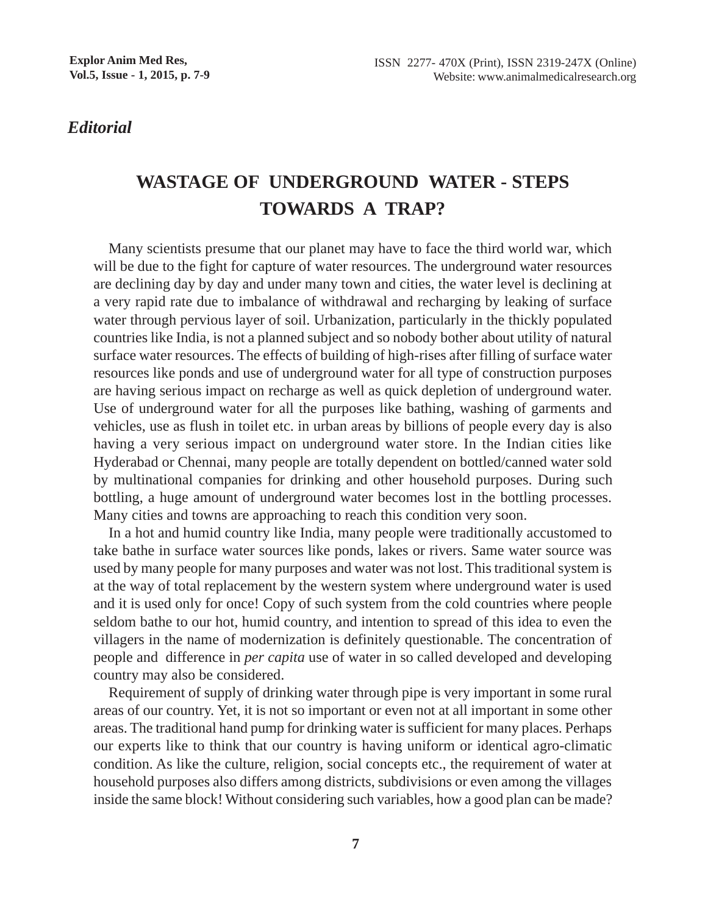*Editorial*

## **WASTAGE OF UNDERGROUND WATER - STEPS TOWARDS A TRAP?**

Many scientists presume that our planet may have to face the third world war, which will be due to the fight for capture of water resources. The underground water resources are declining day by day and under many town and cities, the water level is declining at a very rapid rate due to imbalance of withdrawal and recharging by leaking of surface water through pervious layer of soil. Urbanization, particularly in the thickly populated countries like India, is not a planned subject and so nobody bother about utility of natural surface water resources. The effects of building of high-rises after filling of surface water resources like ponds and use of underground water for all type of construction purposes are having serious impact on recharge as well as quick depletion of underground water. Use of underground water for all the purposes like bathing, washing of garments and vehicles, use as flush in toilet etc. in urban areas by billions of people every day is also having a very serious impact on underground water store. In the Indian cities like Hyderabad or Chennai, many people are totally dependent on bottled/canned water sold by multinational companies for drinking and other household purposes. During such bottling, a huge amount of underground water becomes lost in the bottling processes. Many cities and towns are approaching to reach this condition very soon.

In a hot and humid country like India, many people were traditionally accustomed to take bathe in surface water sources like ponds, lakes or rivers. Same water source was used by many people for many purposes and water was not lost. This traditional system is at the way of total replacement by the western system where underground water is used and it is used only for once! Copy of such system from the cold countries where people seldom bathe to our hot, humid country, and intention to spread of this idea to even the villagers in the name of modernization is definitely questionable. The concentration of people and difference in *per capita* use of water in so called developed and developing country may also be considered.

Requirement of supply of drinking water through pipe is very important in some rural areas of our country. Yet, it is not so important or even not at all important in some other areas. The traditional hand pump for drinking water is sufficient for many places. Perhaps our experts like to think that our country is having uniform or identical agro-climatic condition. As like the culture, religion, social concepts etc., the requirement of water at household purposes also differs among districts, subdivisions or even among the villages inside the same block! Without considering such variables, how a good plan can be made?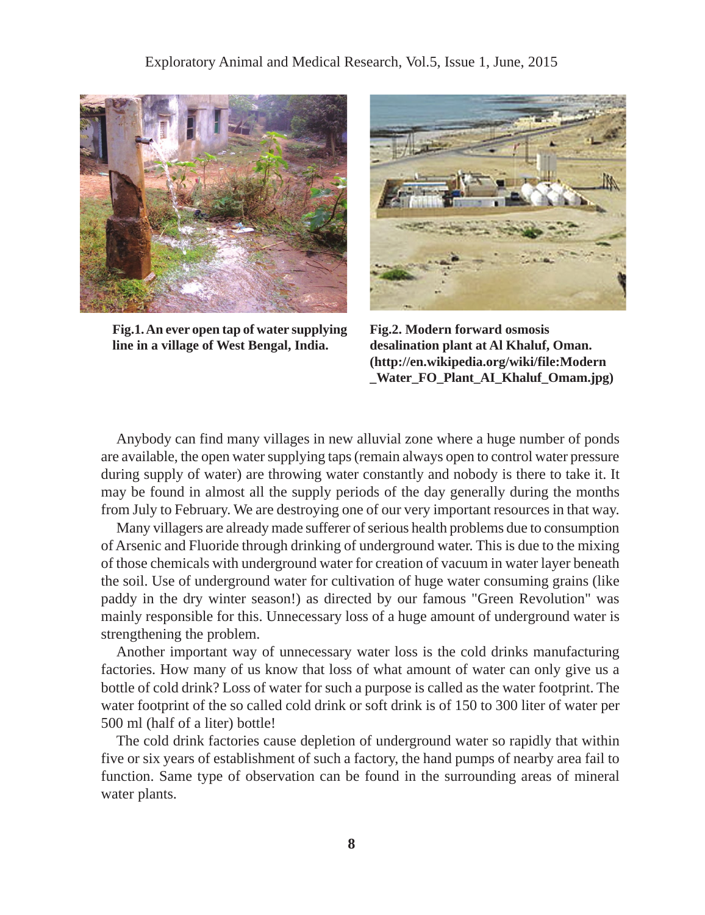

**Fig.1. An ever open tap of water supplying line in a village of West Bengal, India.**



**Fig.2. Modern forward osmosis desalination plant at Al Khaluf, Oman. (http://en.wikipedia.org/wiki/file:Modern \_Water\_FO\_Plant\_AI\_Khaluf\_Omam.jpg)**

Anybody can find many villages in new alluvial zone where a huge number of ponds are available, the open water supplying taps (remain always open to control water pressure during supply of water) are throwing water constantly and nobody is there to take it. It may be found in almost all the supply periods of the day generally during the months from July to February. We are destroying one of our very important resources in that way.

Many villagers are already made sufferer of serious health problems due to consumption of Arsenic and Fluoride through drinking of underground water. This is due to the mixing of those chemicals with underground water for creation of vacuum in water layer beneath the soil. Use of underground water for cultivation of huge water consuming grains (like paddy in the dry winter season!) as directed by our famous "Green Revolution" was mainly responsible for this. Unnecessary loss of a huge amount of underground water is strengthening the problem.

Another important way of unnecessary water loss is the cold drinks manufacturing factories. How many of us know that loss of what amount of water can only give us a bottle of cold drink? Loss of water for such a purpose is called as the water footprint. The water footprint of the so called cold drink or soft drink is of 150 to 300 liter of water per 500 ml (half of a liter) bottle!

The cold drink factories cause depletion of underground water so rapidly that within five or six years of establishment of such a factory, the hand pumps of nearby area fail to function. Same type of observation can be found in the surrounding areas of mineral water plants.